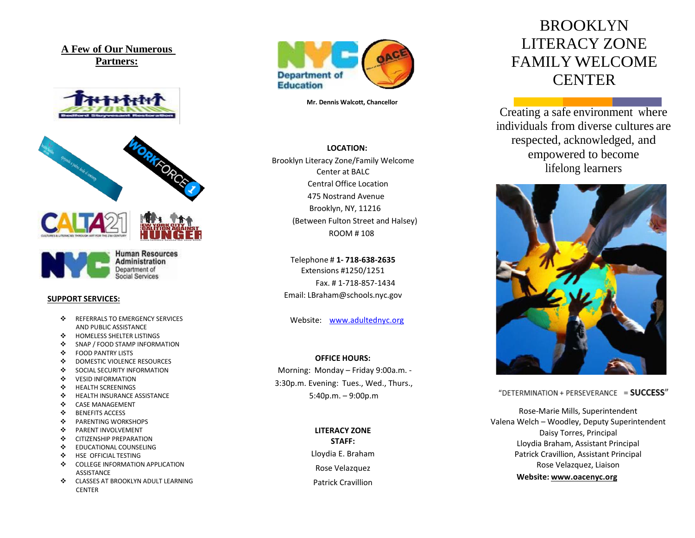**A Few of Our Numerous Partners:**







**Human Resources Administration** Department of **Social Services** 

#### **SUPPORT SERVICES:**

- $\div$  REFERRALS TO EMERGENCY SERVICES AND PUBLIC ASSISTANCE
- $\div$  HOMELESS SHELTER LISTINGS
- SNAP / FOOD STAMP INFORMATION
- $\div$  FOOD PANTRY LISTS
- **❖** DOMESTIC VIOLENCE RESOURCES<br>❖ SOCIAL SECURITY INFORMATION
- SOCIAL SECURITY INFORMATION
- **VESID INFORMATION**
- $\div$  HEALTH SCREENINGS
- $\div$  HEALTH INSURANCE ASSISTANCE
- CASE MANAGEMENT
- ❖ BENEFITS ACCESS
- $\cdot$  PARENTING WORKSHOPS
- $\cdot$  PARENT INVOLVEMENT
- ❖ CITIZENSHIP PREPARATION
- **EDUCATIONAL COUNSELING**
- $\div$  HSE OFFICIAL TESTING
- $\div$  COLLEGE INFORMATION APPLICATION ASSISTANCE
- $\div$  CLASSES AT BROOKLYN ADULT LEARNING **CENTER**



**Mr. Dennis Walcott, Chancellor**

**LOCATION:** Brooklyn Literacy Zone/Family Welcome Center at BALC Central Office Location 475 Nostrand Avenue Brooklyn, NY, 11216 (Between Fulton Street and Halsey) ROOM # 108

Telephone # **1- 718-638-2635** Extensions #1250/1251 Fax. # 1-718-857-1434 Email[: LBraham@schools.nyc.gov](mailto:LBraham@schools.nyc.gov)

Website: [www.adultednyc.org](http://www.adultednyc.org/)

#### **OFFICE HOURS:**

Morning: Monday – Friday 9:00a.m. - 3:30p.m. Evening: Tues., Wed., Thurs., 5:40p.m. – 9:00p.m

**LITERACY ZONE**

**STAFF:** Lloydia E. Braham Rose Velazquez Patrick Cravillion

# BROOKLYN LITERACY ZONE FAMILY WELCOME **CENTER**

Creating a safe environment where individuals from diverse cultures are respected, acknowledged, and empowered to become lifelong learners



"DETERMINATION + PERSEVERANCE = SUCCESS"

Rose-Marie Mills, Superintendent Valena Welch – Woodley, Deputy Superintendent Daisy Torres, Principal Lloydia Braham, Assistant Principal Patrick Cravillion, Assistant Principal Rose Velazquez, Liaison **Website: [www.oacenyc.org](http://www.oacenyc.org/)**